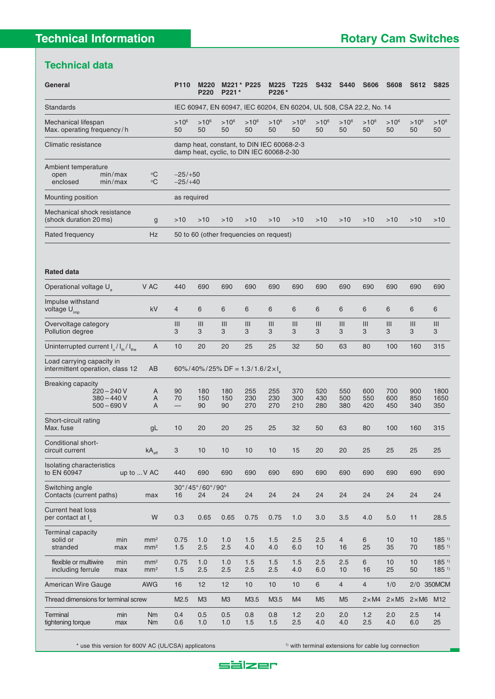## **Technical data**

| General                                                                             |                                                                    | P110                                                                                  | <b>M220</b><br>P220                   | P221*            | M221 * P225       | M225<br>P226*     | T225              | S432              | <b>S440</b>       | <b>S606</b>       | <b>S608</b>       | S612              | <b>S825</b>         |
|-------------------------------------------------------------------------------------|--------------------------------------------------------------------|---------------------------------------------------------------------------------------|---------------------------------------|------------------|-------------------|-------------------|-------------------|-------------------|-------------------|-------------------|-------------------|-------------------|---------------------|
| <b>Standards</b>                                                                    | IEC 60947, EN 60947, IEC 60204, EN 60204, UL 508, CSA 22.2, No. 14 |                                                                                       |                                       |                  |                   |                   |                   |                   |                   |                   |                   |                   |                     |
| Mechanical lifespan<br>Max. operating frequency/h                                   |                                                                    | $>10^6$<br>50                                                                         | $>10^6$<br>50                         | $>10^6$<br>50    | $>10^6$<br>50     | $>10^6$<br>50     | $>10^6$<br>50     | $>10^6$<br>50     | $>10^6$<br>50     | $>10^{6}$<br>50   | $>10^6$<br>50     | $>10^6$<br>50     | $>10^{6}$<br>50     |
| Climatic resistance                                                                 |                                                                    | damp heat, constant, to DIN IEC 60068-2-3<br>damp heat, cyclic, to DIN IEC 60068-2-30 |                                       |                  |                   |                   |                   |                   |                   |                   |                   |                   |                     |
| Ambient temperature<br>min/max<br>open<br>enclosed<br>min/max                       | $\rm ^{\circ}C$<br>$\rm ^{\circ}C$                                 | $-25/+50$<br>$-25/+40$                                                                |                                       |                  |                   |                   |                   |                   |                   |                   |                   |                   |                     |
| Mounting position                                                                   |                                                                    | as required                                                                           |                                       |                  |                   |                   |                   |                   |                   |                   |                   |                   |                     |
| Mechanical shock resistance<br>(shock duration 20 ms)                               | $\mathsf{g}$                                                       | $>10$                                                                                 | $>10$                                 | $>10$            | >10               | >10               | $>10$             | >10               | $>10$             | $>10$             | $>10$             | >10               | >10                 |
| Rated frequency                                                                     | <b>Hz</b><br>50 to 60 (other frequencies on request)               |                                                                                       |                                       |                  |                   |                   |                   |                   |                   |                   |                   |                   |                     |
| Operational voltage U <sub>e</sub><br>Impulse withstand<br>voltage U <sub>imp</sub> | V AC<br>kV                                                         | 440<br>$\overline{4}$                                                                 | 690<br>6                              | 690<br>6         | 690<br>6          | 690<br>6          | 690<br>6          | 690<br>6          | 690<br>6          | 690<br>6          | 690<br>6          | 690<br>6          | 690<br>6            |
| Overvoltage category<br>Pollution degree                                            |                                                                    | III<br>3                                                                              | III<br>3                              | III<br>3         | III<br>3          | III<br>3          | III<br>3          | III<br>3          | III<br>3          | III<br>3          | III<br>3          | III<br>3          | III<br>3            |
| Uninterrupted current $I_{\text{u}}/I_{\text{th}}/I_{\text{the}}$                   | A                                                                  | 10                                                                                    | 20                                    | 20               | 25                | 25                | 32                | 50                | 63                | 80                | 100               | 160               | 315                 |
| Load carrying capacity in<br>intermittent operation, class 12                       | AB                                                                 |                                                                                       | 60%/40%/25% DF = $1.3/1.6/2 \times I$ |                  |                   |                   |                   |                   |                   |                   |                   |                   |                     |
| Breaking capacity<br>$220 - 240V$<br>$380 - 440V$<br>$500 - 690V$                   | Α<br>A<br>A                                                        | 90<br>70                                                                              | 180<br>150<br>90                      | 180<br>150<br>90 | 255<br>230<br>270 | 255<br>230<br>270 | 370<br>300<br>210 | 520<br>430<br>280 | 550<br>500<br>380 | 600<br>550<br>420 | 700<br>600<br>450 | 900<br>850<br>340 | 1800<br>1650<br>350 |
| Short-circuit rating<br>Max. fuse                                                   | gL                                                                 | 10                                                                                    | 20                                    | 20               | 25                | 25                | 32                | 50                | 63                | 80                | 100               | 160               | 315                 |
| Conditional short-                                                                  |                                                                    |                                                                                       |                                       |                  |                   |                   |                   |                   |                   |                   |                   |                   |                     |

| Isolating characteristics<br>to EN 60947     |            | up to $V$ AC           | 440                                           | 690            | 690            | 690        | 690              | 690        | 690            | 690            | 690            | 690           | 690           | 690             |
|----------------------------------------------|------------|------------------------|-----------------------------------------------|----------------|----------------|------------|------------------|------------|----------------|----------------|----------------|---------------|---------------|-----------------|
| Switching angle                              |            |                        | $30^{\circ}/45^{\circ}/60^{\circ}/90^{\circ}$ |                |                |            |                  |            |                |                |                |               |               |                 |
| Contacts (current paths)                     |            | max                    | 16                                            | 24             | 24             | 24         | 24               | 24         | 24             | 24             | 24             | 24            | 24            | 24              |
| <b>Current heat loss</b><br>per contact at I |            | W                      | 0.3                                           | 0.65           | 0.65           | 0.75       | 0.75             | 1.0        | 3.0            | 3.5            | 4.0            | 5.0           | 11            | 28.5            |
| Terminal capacity                            |            |                        |                                               |                |                |            |                  |            |                |                |                |               |               |                 |
| solid or                                     | min        | mm <sup>2</sup>        | 0.75                                          | 1.0            | 1.0            | 1.5        | 1.5              | 2.5        | 2.5            | $\overline{4}$ | 6              | 10            | 10            | $185^{11}$      |
| stranded                                     | max        | mm <sup>2</sup>        | 1.5                                           | 2.5            | 2.5            | 4.0        | 4.0              | 6.0        | 10             | 16             | 25             | 35            | 70            | $185^{11}$      |
| flexible or multiwire                        | min        | mm <sup>2</sup>        | 0.75                                          | 1.0            | 1.0            | 1.5        | 1.5              | 1.5        | 2.5            | 2.5            | 6              | 10            | 10            | $185^{11}$      |
| including ferrule                            | max        | mm <sup>2</sup>        | 1.5                                           | 2.5            | 2.5            | 2.5        | 2.5              | 4.0        | 6.0            | 10             | 16             | 25            | 50            | $185^{11}$      |
| American Wire Gauge                          |            | <b>AWG</b>             | 16                                            | 12             | 12             | 10         | 10               | 10         | 6              | 4              | $\overline{4}$ | 1/0           | 2/0           | 350MCM          |
| Thread dimensions for terminal screw         |            |                        | M2.5                                          | M <sub>3</sub> | M <sub>3</sub> | M3.5       | M <sub>3.5</sub> | M4         | M <sub>5</sub> | M <sub>5</sub> | $2 \times M4$  | $2 \times M5$ | $2 \times M6$ | M <sub>12</sub> |
| Terminal<br>tightening torque                | min<br>max | <b>Nm</b><br><b>Nm</b> | 0.4<br>0.6                                    | 0.5<br>1.0     | 0.5<br>1.0     | 0.8<br>1.5 | 0.8<br>1.5       | 1.2<br>2.5 | 2.0<br>4.0     | 2.0<br>4.0     | 1.2<br>2.5     | 2.0<br>4.0    | 2.5<br>6.0    | 14<br>25        |

\* use this version for 600V AC (UL/CSA) applicatons 10 m and 10 m and 10 m and 10 m and 10 m and 10 m and 10 m and 10 m and 10 m and 10 m and 10 m and 10 m and 10 m and 10 m and 10 m and 10 m and 10 m and 10 m and 10 m and